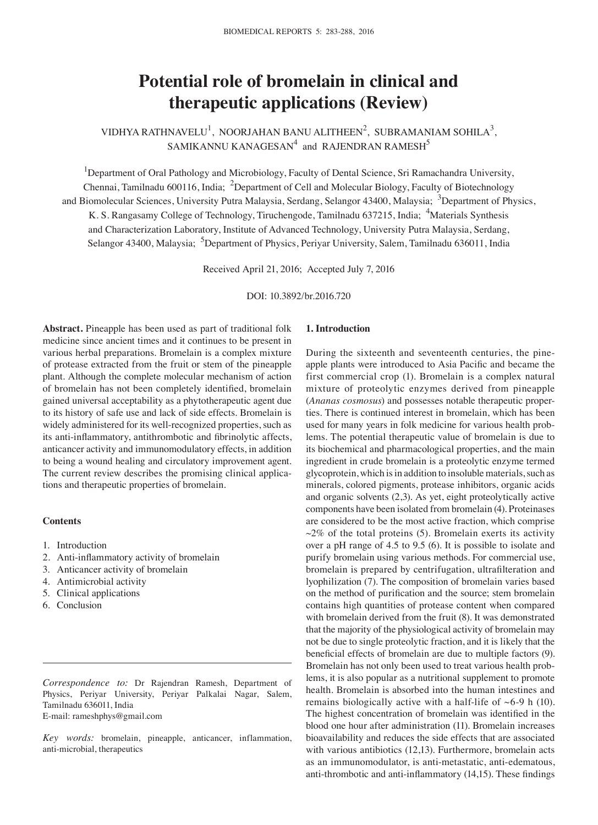# **Potential role of bromelain in clinical and therapeutic applications (Review)**

VIDHYA RATHNAVELU $^1$ , NOORJAHAN BANU ALITHEEN $^2$ , SUBRAMANIAM SOHILA $^3_\Lambda$ SAMIKANNU KANAGESAN $^4$  and RAJENDRAN RAMESH $^5$ 

<sup>1</sup>Department of Oral Pathology and Microbiology, Faculty of Dental Science, Sri Ramachandra University, Chennai, Tamilnadu 600116, India; <sup>2</sup>Department of Cell and Molecular Biology, Faculty of Biotechnology and Biomolecular Sciences, University Putra Malaysia, Serdang, Selangor 43400, Malaysia; <sup>3</sup>Department of Physics, K. S. Rangasamy College of Technology, Tiruchengode, Tamilnadu 637215, India; <sup>4</sup>Materials Synthesis and Characterization Laboratory, Institute of Advanced Technology, University Putra Malaysia, Serdang, Selangor 43400, Malaysia; <sup>5</sup>Department of Physics, Periyar University, Salem, Tamilnadu 636011, India

Received April 21, 2016; Accepted July 7, 2016

DOI: 10.3892/br.2016.720

**Abstract.** Pineapple has been used as part of traditional folk medicine since ancient times and it continues to be present in various herbal preparations. Bromelain is a complex mixture of protease extracted from the fruit or stem of the pineapple plant. Although the complete molecular mechanism of action of bromelain has not been completely identified, bromelain gained universal acceptability as a phytotherapeutic agent due to its history of safe use and lack of side effects. Bromelain is widely administered for its well-recognized properties, such as its anti-inflammatory, antithrombotic and fibrinolytic affects, anticancer activity and immunomodulatory effects, in addition to being a wound healing and circulatory improvement agent. The current review describes the promising clinical applications and therapeutic properties of bromelain.

## **Contents**

- 1. Introduction
- 2. Anti-inflammatory activity of bromelain
- 3. Anticancer activity of bromelain
- 4. Antimicrobial activity
- 5. Clinical applications
- 6. Conclusion

*Correspondence to:* Dr Rajendran Ramesh, Department of Physics, Periyar University, Periyar Palkalai Nagar, Salem, Tamilnadu 636011, India E-mail: rameshphys@gmail.com

*Key words:* bromelain, pineapple, anticancer, inflammation, anti-microbial, therapeutics

## **1. Introduction**

During the sixteenth and seventeenth centuries, the pineapple plants were introduced to Asia Pacific and became the first commercial crop (1). Bromelain is a complex natural mixture of proteolytic enzymes derived from pineapple (*Ananas cosmosus*) and possesses notable therapeutic properties. There is continued interest in bromelain, which has been used for many years in folk medicine for various health problems. The potential therapeutic value of bromelain is due to its biochemical and pharmacological properties, and the main ingredient in crude bromelain is a proteolytic enzyme termed glycoprotein, which is in addition to insoluble materials, such as minerals, colored pigments, protease inhibitors, organic acids and organic solvents (2,3). As yet, eight proteolytically active components have been isolated from bromelain (4). Proteinases are considered to be the most active fraction, which comprise  $\sim$ 2% of the total proteins (5). Bromelain exerts its activity over a pH range of 4.5 to 9.5 (6). It is possible to isolate and purify bromelain using various methods. For commercial use, bromelain is prepared by centrifugation, ultrafilteration and lyophilization (7). The composition of bromelain varies based on the method of purification and the source; stem bromelain contains high quantities of protease content when compared with bromelain derived from the fruit (8). It was demonstrated that the majority of the physiological activity of bromelain may not be due to single proteolytic fraction, and it is likely that the beneficial effects of bromelain are due to multiple factors (9). Bromelain has not only been used to treat various health problems, it is also popular as a nutritional supplement to promote health. Bromelain is absorbed into the human intestines and remains biologically active with a half-life of  $~6$ -9 h (10). The highest concentration of bromelain was identified in the blood one hour after administration (11). Bromelain increases bioavailability and reduces the side effects that are associated with various antibiotics (12,13). Furthermore, bromelain acts as an immunomodulator, is anti-metastatic, anti-edematous, anti-thrombotic and anti-inflammatory (14,15). These findings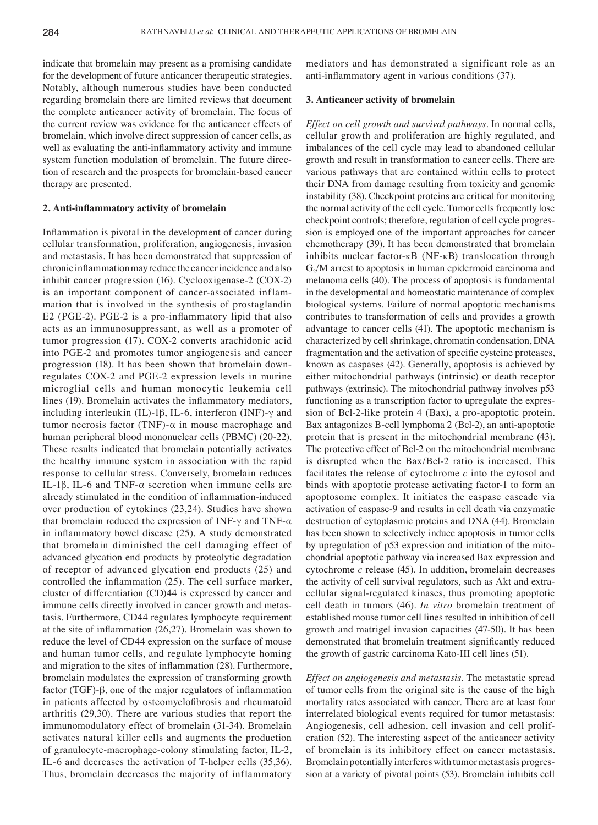indicate that bromelain may present as a promising candidate for the development of future anticancer therapeutic strategies. Notably, although numerous studies have been conducted regarding bromelain there are limited reviews that document the complete anticancer activity of bromelain. The focus of the current review was evidence for the anticancer effects of bromelain, which involve direct suppression of cancer cells, as well as evaluating the anti-inflammatory activity and immune system function modulation of bromelain. The future direction of research and the prospects for bromelain-based cancer therapy are presented.

### **2. Anti-inflammatory activity of bromelain**

Inflammation is pivotal in the development of cancer during cellular transformation, proliferation, angiogenesis, invasion and metastasis. It has been demonstrated that suppression of chronic inflammation may reduce the cancer incidence and also inhibit cancer progression (16). Cyclooxigenase-2 (COX-2) is an important component of cancer-associated inflammation that is involved in the synthesis of prostaglandin E2 (PGE-2). PGE-2 is a pro-inflammatory lipid that also acts as an immunosuppressant, as well as a promoter of tumor progression (17). COX-2 converts arachidonic acid into PGE-2 and promotes tumor angiogenesis and cancer progression (18). It has been shown that bromelain downregulates COX-2 and PGE-2 expression levels in murine microglial cells and human monocytic leukemia cell lines (19). Bromelain activates the inflammatory mediators, including interleukin (IL)-1β, IL-6, interferon (INF)-γ and tumor necrosis factor (TNF)-α in mouse macrophage and human peripheral blood mononuclear cells (PBMC) (20-22). These results indicated that bromelain potentially activates the healthy immune system in association with the rapid response to cellular stress. Conversely, bromelain reduces IL-1β, IL-6 and TNF- $\alpha$  secretion when immune cells are already stimulated in the condition of inflammation-induced over production of cytokines (23,24). Studies have shown that bromelain reduced the expression of INF-γ and TNF- $α$ in inflammatory bowel disease (25). A study demonstrated that bromelain diminished the cell damaging effect of advanced glycation end products by proteolytic degradation of receptor of advanced glycation end products (25) and controlled the inflammation (25). The cell surface marker, cluster of differentiation (CD)44 is expressed by cancer and immune cells directly involved in cancer growth and metastasis. Furthermore, CD44 regulates lymphocyte requirement at the site of inflammation (26,27). Bromelain was shown to reduce the level of CD44 expression on the surface of mouse and human tumor cells, and regulate lymphocyte homing and migration to the sites of inflammation (28). Furthermore, bromelain modulates the expression of transforming growth factor (TGF)-β, one of the major regulators of inflammation in patients affected by osteomyelofibrosis and rheumatoid arthritis (29,30). There are various studies that report the immunomodulatory effect of bromelain (31-34). Bromelain activates natural killer cells and augments the production of granulocyte-macrophage-colony stimulating factor, IL-2, IL-6 and decreases the activation of T-helper cells (35,36). Thus, bromelain decreases the majority of inflammatory mediators and has demonstrated a significant role as an anti-inflammatory agent in various conditions (37).

## **3. Anticancer activity of bromelain**

*Effect on cell growth and survival pathways.* In normal cells, cellular growth and proliferation are highly regulated, and imbalances of the cell cycle may lead to abandoned cellular growth and result in transformation to cancer cells. There are various pathways that are contained within cells to protect their DNA from damage resulting from toxicity and genomic instability (38). Checkpoint proteins are critical for monitoring the normal activity of the cell cycle. Tumor cells frequently lose checkpoint controls; therefore, regulation of cell cycle progression is employed one of the important approaches for cancer chemotherapy (39). It has been demonstrated that bromelain inhibits nuclear factor-κB (NF-κB) translocation through  $G<sub>2</sub>/M$  arrest to apoptosis in human epidermoid carcinoma and melanoma cells (40). The process of apoptosis is fundamental in the developmental and homeostatic maintenance of complex biological systems. Failure of normal apoptotic mechanisms contributes to transformation of cells and provides a growth advantage to cancer cells (41). The apoptotic mechanism is characterized by cell shrinkage, chromatin condensation, DNA fragmentation and the activation of specific cysteine proteases, known as caspases (42). Generally, apoptosis is achieved by either mitochondrial pathways (intrinsic) or death receptor pathways (extrinsic). The mitochondrial pathway involves p53 functioning as a transcription factor to upregulate the expression of Bcl-2-like protein 4 (Bax), a pro-apoptotic protein. Bax antagonizes B-cell lymphoma 2 (Bcl-2), an anti-apoptotic protein that is present in the mitochondrial membrane (43). The protective effect of Bcl-2 on the mitochondrial membrane is disrupted when the Bax/Bcl-2 ratio is increased. This facilitates the release of cytochrome *c* into the cytosol and binds with apoptotic protease activating factor-1 to form an apoptosome complex. It initiates the caspase cascade via activation of caspase-9 and results in cell death via enzymatic destruction of cytoplasmic proteins and DNA (44). Bromelain has been shown to selectively induce apoptosis in tumor cells by upregulation of p53 expression and initiation of the mitochondrial apoptotic pathway via increased Bax expression and cytochrome *c* release (45). In addition, bromelain decreases the activity of cell survival regulators, such as Akt and extracellular signal-regulated kinases, thus promoting apoptotic cell death in tumors (46). *In vitro* bromelain treatment of established mouse tumor cell lines resulted in inhibition of cell growth and matrigel invasion capacities (47-50). It has been demonstrated that bromelain treatment significantly reduced the growth of gastric carcinoma Kato-III cell lines (51).

*Effect on angiogenesis and metastasis.* The metastatic spread of tumor cells from the original site is the cause of the high mortality rates associated with cancer. There are at least four interrelated biological events required for tumor metastasis: Angiogenesis, cell adhesion, cell invasion and cell proliferation (52). The interesting aspect of the anticancer activity of bromelain is its inhibitory effect on cancer metastasis. Bromelain potentially interferes with tumor metastasis progression at a variety of pivotal points (53). Bromelain inhibits cell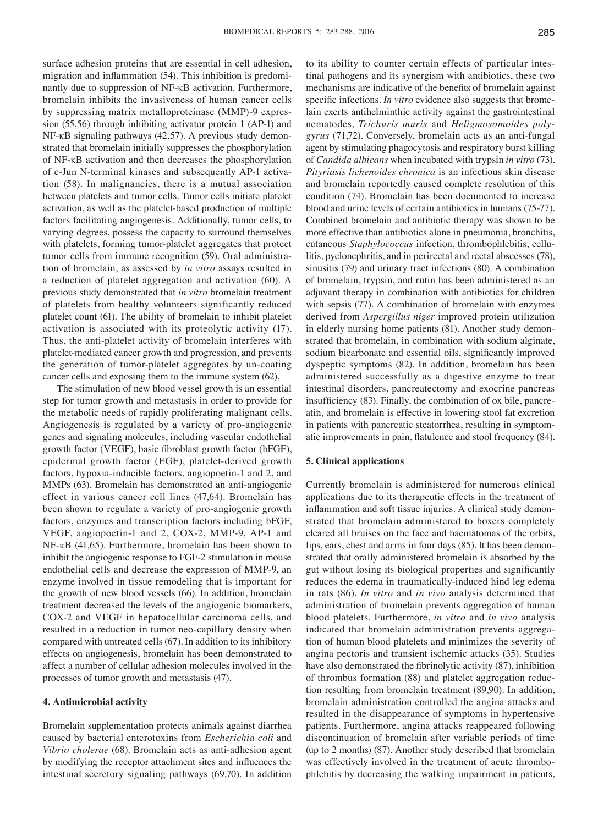surface adhesion proteins that are essential in cell adhesion, migration and inflammation (54). This inhibition is predominantly due to suppression of NF-κB activation. Furthermore, bromelain inhibits the invasiveness of human cancer cells by suppressing matrix metalloproteinase (MMP)-9 expression (55,56) through inhibiting activator protein 1 (AP-1) and NF-κB signaling pathways (42,57). A previous study demonstrated that bromelain initially suppresses the phosphorylation of NF-κB activation and then decreases the phosphorylation of c-Jun N-terminal kinases and subsequently AP-1 activation (58). In malignancies, there is a mutual association between platelets and tumor cells. Tumor cells initiate platelet activation, as well as the platelet-based production of multiple factors facilitating angiogenesis. Additionally, tumor cells, to varying degrees, possess the capacity to surround themselves with platelets, forming tumor-platelet aggregates that protect tumor cells from immune recognition (59). Oral administration of bromelain, as assessed by *in vitro* assays resulted in a reduction of platelet aggregation and activation (60). A previous study demonstrated that *in vitro* bromelain treatment of platelets from healthy volunteers significantly reduced platelet count (61). The ability of bromelain to inhibit platelet activation is associated with its proteolytic activity (17). Thus, the anti-platelet activity of bromelain interferes with platelet-mediated cancer growth and progression, and prevents the generation of tumor-platelet aggregates by un-coating cancer cells and exposing them to the immune system (62).

The stimulation of new blood vessel growth is an essential step for tumor growth and metastasis in order to provide for the metabolic needs of rapidly proliferating malignant cells. Angiogenesis is regulated by a variety of pro-angiogenic genes and signaling molecules, including vascular endothelial growth factor (VEGF), basic fibroblast growth factor (bFGF), epidermal growth factor (EGF), platelet-derived growth factors, hypoxia-inducible factors, angiopoetin-1 and 2, and MMPs (63). Bromelain has demonstrated an anti-angiogenic effect in various cancer cell lines (47,64). Bromelain has been shown to regulate a variety of pro-angiogenic growth factors, enzymes and transcription factors including bFGF, VEGF, angiopoetin-1 and 2, COX-2, MMP-9, AP-1 and NF-κB (41,65). Furthermore, bromelain has been shown to inhibit the angiogenic response to FGF-2 stimulation in mouse endothelial cells and decrease the expression of MMP-9, an enzyme involved in tissue remodeling that is important for the growth of new blood vessels (66). In addition, bromelain treatment decreased the levels of the angiogenic biomarkers, COX-2 and VEGF in hepatocellular carcinoma cells, and resulted in a reduction in tumor neo-capillary density when compared with untreated cells (67). In addition to its inhibitory effects on angiogenesis, bromelain has been demonstrated to affect a number of cellular adhesion molecules involved in the processes of tumor growth and metastasis (47).

### **4. Antimicrobial activity**

Bromelain supplementation protects animals against diarrhea caused by bacterial enterotoxins from *Escherichia coli* and *Vibrio cholerae* (68). Bromelain acts as anti-adhesion agent by modifying the receptor attachment sites and influences the intestinal secretory signaling pathways (69,70). In addition to its ability to counter certain effects of particular intestinal pathogens and its synergism with antibiotics, these two mechanisms are indicative of the benefits of bromelain against specific infections. *In vitro* evidence also suggests that bromelain exerts antihelminthic activity against the gastrointestinal nematodes, *Trichuris muris* and *Heligmosomoides polygyrus* (71,72). Conversely, bromelain acts as an anti-fungal agent by stimulating phagocytosis and respiratory burst killing of *Candida albicans* when incubated with trypsin *in vitro* (73). *Pityriasis lichenoides chronica* is an infectious skin disease and bromelain reportedly caused complete resolution of this condition (74). Bromelain has been documented to increase blood and urine levels of certain antibiotics in humans (75-77). Combined bromelain and antibiotic therapy was shown to be more effective than antibiotics alone in pneumonia, bronchitis, cutaneous *Staphylococcus* infection, thrombophlebitis, cellulitis, pyelonephritis, and in perirectal and rectal abscesses (78), sinusitis (79) and urinary tract infections (80). A combination of bromelain, trypsin, and rutin has been administered as an adjuvant therapy in combination with antibiotics for children with sepsis (77). A combination of bromelain with enzymes derived from *Aspergillus niger* improved protein utilization in elderly nursing home patients (81). Another study demonstrated that bromelain, in combination with sodium alginate, sodium bicarbonate and essential oils, significantly improved dyspeptic symptoms (82). In addition, bromelain has been administered successfully as a digestive enzyme to treat intestinal disorders, pancreatectomy and exocrine pancreas insufficiency (83). Finally, the combination of ox bile, pancreatin, and bromelain is effective in lowering stool fat excretion in patients with pancreatic steatorrhea, resulting in symptomatic improvements in pain, flatulence and stool frequency (84).

## **5. Clinical applications**

Currently bromelain is administered for numerous clinical applications due to its therapeutic effects in the treatment of inflammation and soft tissue injuries. A clinical study demonstrated that bromelain administered to boxers completely cleared all bruises on the face and haematomas of the orbits, lips, ears, chest and arms in four days (85). It has been demonstrated that orally administered bromelain is absorbed by the gut without losing its biological properties and significantly reduces the edema in traumatically-induced hind leg edema in rats (86). *In vitro* and *in vivo* analysis determined that administration of bromelain prevents aggregation of human blood platelets. Furthermore, *in vitro* and *in vivo* analysis indicated that bromelain administration prevents aggregation of human blood platelets and minimizes the severity of angina pectoris and transient ischemic attacks (35). Studies have also demonstrated the fibrinolytic activity (87), inhibition of thrombus formation (88) and platelet aggregation reduction resulting from bromelain treatment (89,90). In addition, bromelain administration controlled the angina attacks and resulted in the disappearance of symptoms in hypertensive patients. Furthermore, angina attacks reappeared following discontinuation of bromelain after variable periods of time (up to 2 months) (87). Another study described that bromelain was effectively involved in the treatment of acute thrombophlebitis by decreasing the walking impairment in patients,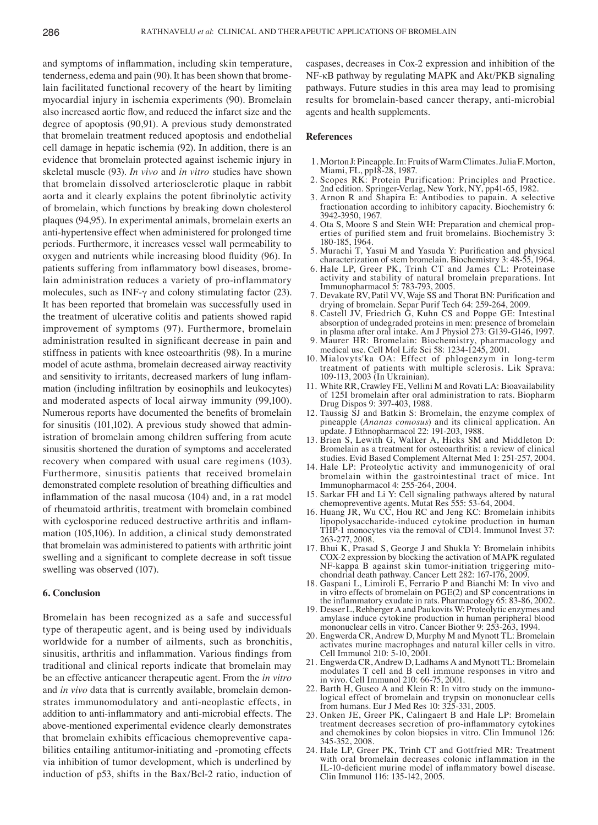and symptoms of inflammation, including skin temperature, tenderness, edema and pain (90). It has been shown that bromelain facilitated functional recovery of the heart by limiting myocardial injury in ischemia experiments (90). Bromelain also increased aortic flow, and reduced the infarct size and the degree of apoptosis (90,91). A previous study demonstrated that bromelain treatment reduced apoptosis and endothelial cell damage in hepatic ischemia (92). In addition, there is an evidence that bromelain protected against ischemic injury in skeletal muscle (93). *In vivo* and *in vitro* studies have shown that bromelain dissolved arteriosclerotic plaque in rabbit aorta and it clearly explains the potent fibrinolytic activity of bromelain, which functions by breaking down cholesterol plaques (94,95). In experimental animals, bromelain exerts an anti-hypertensive effect when administered for prolonged time periods. Furthermore, it increases vessel wall permeability to oxygen and nutrients while increasing blood fluidity (96). In patients suffering from inflammatory bowl diseases, bromelain administration reduces a variety of pro-inflammatory molecules, such as INF-γ and colony stimulating factor (23). It has been reported that bromelain was successfully used in the treatment of ulcerative colitis and patients showed rapid improvement of symptoms (97). Furthermore, bromelain administration resulted in significant decrease in pain and stiffness in patients with knee osteoarthritis (98). In a murine model of acute asthma, bromelain decreased airway reactivity and sensitivity to irritants, decreased markers of lung inflammation (including infiltration by eosinophils and leukocytes) and moderated aspects of local airway immunity (99,100). Numerous reports have documented the benefits of bromelain for sinusitis (101,102). A previous study showed that administration of bromelain among children suffering from acute sinusitis shortened the duration of symptoms and accelerated recovery when compared with usual care regimens (103). Furthermore, sinusitis patients that received bromelain demonstrated complete resolution of breathing difficulties and inflammation of the nasal mucosa (104) and, in a rat model of rheumatoid arthritis, treatment with bromelain combined with cyclosporine reduced destructive arthritis and inflammation (105,106). In addition, a clinical study demonstrated that bromelain was administered to patients with arthritic joint swelling and a significant to complete decrease in soft tissue swelling was observed (107).

#### **6. Conclusion**

Bromelain has been recognized as a safe and successful type of therapeutic agent, and is being used by individuals worldwide for a number of ailments, such as bronchitis, sinusitis, arthritis and inflammation. Various findings from traditional and clinical reports indicate that bromelain may be an effective anticancer therapeutic agent. From the *in vitro* and *in vivo* data that is currently available, bromelain demonstrates immunomodulatory and anti-neoplastic effects, in addition to anti-inflammatory and anti-microbial effects. The above-mentioned experimental evidence clearly demonstrates that bromelain exhibits efficacious chemopreventive capabilities entailing antitumor-initiating and -promoting effects via inhibition of tumor development, which is underlined by induction of p53, shifts in the Bax/Bcl-2 ratio, induction of caspases, decreases in Cox-2 expression and inhibition of the NF-κB pathway by regulating MAPK and Akt/PKB signaling pathways. Future studies in this area may lead to promising results for bromelain-based cancer therapy, anti-microbial agents and health supplements.

#### **References**

- 1. Morton J: Pineapple. In: Fruits of Warm Climates. JuliaF.Morton, Miami, FL, pp18-28, 1987.
- 2. Scopes RK: Protein Purification: Principles and Practice. 2nd edition. Springer-Verlag, New York, NY, pp41-65, 1982.
- 3. Arnon R and Shapira E: Antibodies to papain. A selective fractionation according to inhibitory capacity. Biochemistry 6: 3942-3950, 1967.<br>4. Ota S, Moore S and Stein WH: Preparation and chemical prop-
- erties of purified stem and fruit bromelains. Biochemistry 3: 180-185, 1964.
- 5. Murachi T, Yasui M and Yasuda Y: Purification and physical characterization of stem bromelain. Biochemistry 3: 48-55, 1964.
- 6. Hale LP, Greer PK, Trinh CT and James CL: Proteinase activity and stability of natural bromelain preparations. Int Immunopharmacol 5: 783-793, 2005.
- 7. Devakate RV, Patil VV, Waje SS and Thorat BN: Purification and drying of bromelain. Separ Purif Tech 64: 259-264, 2009.
- 8. Castell JV, Friedrich G, Kuhn CS and Poppe GE: Intestinal absorption of undegraded proteins in men: presence of bromelain in plasma after oral intake. Am J Physiol 273: G139-G146, 1997.
- 9. Maurer HR: Bromelain: Biochemistry, pharmacology and medical use. Cell Mol Life Sci 58: 1234-1245, 2001.
- 10. Mialovyts'ka OA: Effect of phlogenzym in long-term treatment of patients with multiple sclerosis. Lik Sprava: 109-113, 2003 (In Ukrainian).
- 11. White RR, Crawley FE, Vellini M and Rovati LA: Bioavailability of 125I bromelain after oral administration to rats. Biopharm Drug Dispos 9: 397-403, 1988.
- 12. Taussig SJ and Batkin S: Bromelain, the enzyme complex of pineapple (*Ananas comosus*) and its clinical application. An update. J Ethnopharmacol 22: 191-203, 1988.
- 13. Brien S, Lewith G, Walker A, Hicks SM and Middleton D: Bromelain as a treatment for osteoarthritis: a review of clinical studies. Evid Based Complement Alternat Med 1: 251-257, 2004.
- 14. Hale LP: Proteolytic activity and immunogenicity of oral bromelain within the gastrointestinal tract of mice. Int Immunopharmacol 4: 255-264, 2004.
- 15. Sarkar FH and Li Y: Cell signaling pathways altered by natural chemopreventive agents. Mutat Res 555: 53-64, 2004.
- 16. Huang JR, Wu CC, Hou RC and Jeng KC: Bromelain inhibits lipopolysaccharide-induced cytokine production in human THP-1 monocytes via the removal of CD14. Immunol Invest 37: 263-277, 2008.
- 17. Bhui K, Prasad S, George J and Shukla Y: Bromelain inhibits COX-2 expression by blocking the activation of MAPK regulated chondrial death pathway. Cancer Lett 282: 167-176, 2009.
- 18. Gaspani L, Limiroli E, Ferrario P and Bianchi M: In vivo and in vitro effects of bromelain on PGE(2) and SP concentrations in the inflammatory exudate in rats. Pharmacology 65: 83-86, 2002.
- 19. Desser L, Rehberger A and Paukovits W: Proteolytic enzymes and amylase induce cytokine production in human peripheral blood mononuclear cells in vitro. Cancer Biother 9: 253-263, 1994.
- 20. Engwerda CR, Andrew D, Murphy M and Mynott TL: Bromelain activates murine macrophages and natural killer cells in vitro. Cell Immunol 210: 5-10, 2001.
- 21. Engwerda CR, Andrew D, Ladhams A and Mynott TL: Bromelain modulates T cell and B cell immune responses in vitro and in vivo. Cell Immunol 210: 66-75, 2001.
- 22. Barth H, Guseo A and Klein R: In vitro study on the immuno- logical effect of bromelain and trypsin on mononuclear cells from humans. Eur J Med Res 10: 325-331, 2005.
- 23. Onken JE, Greer PK, Calingaert B and Hale LP: Bromelain treatment decreases secretion of pro-inflammatory cytokines and chemokines by colon biopsies in vitro. Clin Immunol 126: 345-352, 2008.
- 24. Hale LP, Greer PK, Trinh CT and Gottfried MR: Treatment with oral bromelain decreases colonic inflammation in the IL-10‑deficient murine model of inflammatory bowel disease. Clin Immunol 116: 135-142, 2005.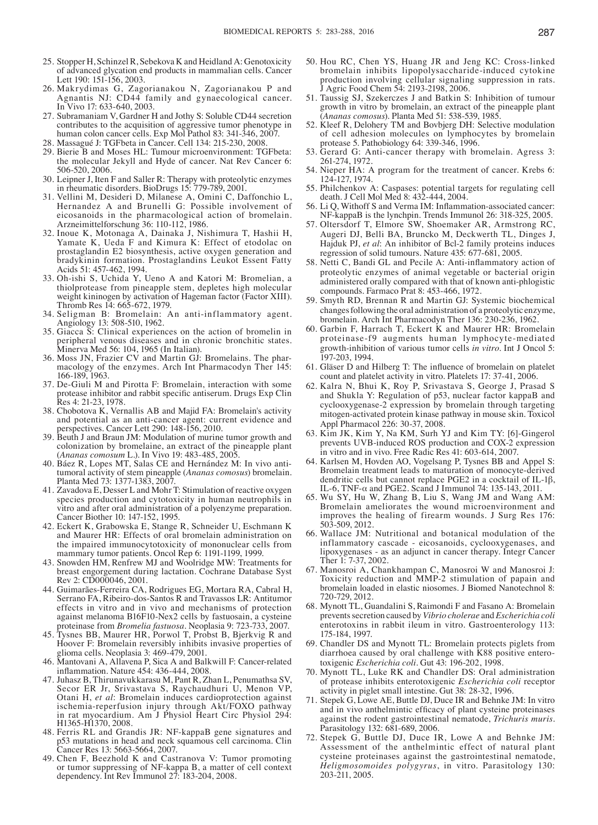- 25. Stopper H, Schinzel R, Sebekova K and Heidland A: Genotoxicity of advanced glycation end products in mammalian cells. Cancer Lett 190: 151-156, 2003.
- 26. Makrydimas G, Zagorianakou N, Zagorianakou P and Agnantis NJ: CD44 family and gynaecological cancer. In Vivo 17: 633-640, 2003.
- 27. Subramaniam V, Gardner H and Jothy S: Soluble CD44 secretion contributes to the acquisition of aggressive tumor phenotype in human colon cancer cells. Exp Mol Pathol 83: 341-346, 2007.
- 28. Massagué J: TGFbeta in Cancer. Cell 134: 215-230, 2008.
- 29. Bierie B and Moses HL: Tumour microenvironment: TGFbeta: the molecular Jekyll and Hyde of cancer. Nat Rev Cancer 6: 506-520, 2006.
- 30. Leipner J, Iten F and Saller R: Therapy with proteolytic enzymes in rheumatic disorders. BioDrugs 15: 779-789, 2001.
- 31. Vellini M, Desideri D, Milanese A, Omini C, Daffonchio L, Hernandez A and Brunelli G: Possible involvement of eicosanoids in the pharmacological action of bromelain. Arzneimittelforschung 36: 110-112, 1986.
- 32. Inoue K, Motonaga A, Dainaka J, Nishimura T, Hashii H, Yamate K, Ueda F and Kimura K: Effect of etodolac on prostaglandin E2 biosynthesis, active oxygen generation and bradykinin formation. Prostaglandins Leukot Essent Fatty Acids 51: 457-462, 1994.
- 33. Oh-ishi S, Uchida Y, Ueno A and Katori M: Bromelian, a thiolprotease from pineapple stem, depletes high molecular weight kininogen by activation of Hageman factor (Factor XIII). Thromb Res 14: 665-672, 1979.
- 34. Seligman B: Bromelain: An anti-inflammatory agent. Angiology 13: 508-510, 1962.
- 35. Giacca S: Clinical experiences on the action of bromelin in peripheral venous diseases and in chronic bronchitic states. Minerva Med 56: 104, 1965 (In Italian).
- 36. Moss JN, Frazier CV and Martin GJ: Bromelains. The phar- macology of the enzymes. Arch Int Pharmacodyn Ther 145: 166-189, 1963.
- 37. De-Giuli M and Pirotta F: Bromelain, interaction with some protease inhibitor and rabbit specific antiserum. Drugs Exp Clin Res 4: 21-23, 1978.
- 38. Chobotova K, Vernallis AB and Majid FA: Bromelain's activity and potential as an anti-cancer agent: current evidence and perspectives. Cancer Lett 290: 148-156, 2010.
- 39. Beuth J and Braun JM: Modulation of murine tumor growth and colonization by bromelaine, an extract of the pineapple plant (*Ananas comosum* L.). In Vivo 19: 483-485, 2005.
- 40. Báez R, Lopes MT, Salas CE and Hernández M: In vivo anti- tumoral activity of stem pineapple (*Ananas comosus*) bromelain. Planta Med 73: 1377-1383, 2007
- 41. Zavadova E, Desser L and Mohr T: Stimulation of reactive oxygen species production and cytotoxicity in human neutrophils in vitro and after oral administration of a polyenzyme preparation. Cancer Biother 10: 147-152, 1995.
- 42. Eckert K, Grabowska E, Stange R, Schneider U, Eschmann K and Maurer HR: Effects of oral bromelain administration on the impaired immunocytotoxicity of mononuclear cells from mammary tumor patients. Oncol Rep 6: 1191-1199, 1999.
- 43. Snowden HM, Renfrew MJ and Woolridge MW: Treatments for breast engorgement during lactation. Cochrane Database Syst Rev 2: CD000046, 2001.
- 44. Guimarães-Ferreira CA, Rodrigues EG, Mortara RA, Cabral H, Serrano FA, Ribeiro-dos-Santos R and Travassos LR: Antitumor effects in vitro and in vivo and mechanisms of protection against melanoma B16F10-Nex2 cells by fastuosain, a cysteine proteinase from *Bromelia fastuosa*. Neoplasia 9: 723-733, 2007.
- 45. Tysnes BB, Maurer HR, Porwol T, Probst B, Bjerkvig R and Hoover F: Bromelain reversibly inhibits invasive properties of glioma cells. Neoplasia 3: 469-479, 2001.
- 46. Mantovani A, Allavena P, Sica A and Balkwill F: Cancer-related inflammation. Nature 454: 436-444, 2008.
- 47. Juhasz B, Thirunavukkarasu M, Pant R, Zhan L, Penumathsa SV, Secor ER Jr, Srivastava S, Raychaudhuri U, Menon VP, Otani H, *et al*: Bromelain induces cardioprotection against ischemia-reperfusion injury through Akt/FOXO pathway in rat myocardium. Am J Physiol Heart Circ Physiol 294: H1365-H1370, 2008.
- 48. Ferris RL and Grandis JR: NF-kappaB gene signatures and p53 mutations in head and neck squamous cell carcinoma. Clin Cancer Res 13: 5663-5664, 2007.
- 49. Chen F, Beezhold K and Castranova V: Tumor promoting or tumor suppressing of NF-kappa B, a matter of cell context dependency. Int Rev Immunol 27: 183-204, 2008.
- 50. Hou RC, Chen YS, Huang JR and Jeng KC: Cross-linked bromelain inhibits lipopolysaccharide-induced cytokine production involving cellular signaling suppression in rats. J Agric Food Chem 54: 2193-2198, 2006.
- 51. Taussig SJ, Szekerczes J and Batkin S: Inhibition of tumour growth in vitro by bromelain, an extract of the pineapple plant (*Ananas comosus*). Planta Med 51: 538-539, 1985.
- 52. Kleef R, Delohery TM and Bovbjerg DH: Selective modulation of cell adhesion molecules on lymphocytes by bromelain protease 5. Pathobiology 64: 339-346, 1996.
- 53. Gerard G: Anti-cancer therapy with bromelain. Agress 3: 261-274, 1972.
- 54. Nieper HA: A program for the treatment of cancer. Krebs 6: 124-127, 1974.
- 55. Philchenkov A: Caspases: potential targets for regulating cell death. J Cell Mol Med 8: 432-444, 2004.
- 56. Li Q, Withoff S and Verma IM: Inflammation-associated cancer: NF-kappaB is the lynchpin. Trends Immunol 26: 318-325, 2005.
- 57. Oltersdorf T, Elmore SW, Shoemaker AR, Armstrong RC, Augeri DJ, Belli BA, Bruncko M, Deckwerth TL, Dinges J, Hajduk PJ, *et al*: An inhibitor of Bcl-2 family proteins induces regression of solid tumours. Nature 435: 677-681, 2005.
- 58. Netti C, Bandi GL and Pecile A: Anti-inflammatory action of proteolytic enzymes of animal vegetable or bacterial origin administered orally compared with that of known anti-phlogistic compounds. Farmaco Prat 8: 453-466, 1972.
- 59. Smyth RD, Brennan R and Martin GJ: Systemic biochemical changes following the oral administration of a proteolytic enzyme, bromelain. Arch Int Pharmacodyn Ther 136: 230-236, 1962.
- 60. Garbin F, Harrach T, Eckert K and Maurer HR: Bromelain proteinase-f9 augments human lymphocyte-mediated growth-inhibition of various tumor cells *in vitro*. Int J Oncol 5: 197-203, 1994.
- 61. Gläser D and Hilberg T: The influence of bromelain on platelet count and platelet activity in vitro. Platelets 17: 37-41, 2006.
- 62. Kalra N, Bhui K, Roy P, Srivastava S, George J, Prasad S and Shukla Y: Regulation of p53, nuclear factor kappaB and cyclooxygenase-2 expression by bromelain through targeting mitogen-activated protein kinase pathway in mouse skin. Toxicol Appl Pharmacol 226: 30-37, 2008.
- 63. Kim JK, Kim Y, Na KM, Surh YJ and Kim TY: [6]-Gingerol prevents UVB-induced ROS production and COX-2 expression in vitro and in vivo. Free Radic Res 41: 603-614, 2007.
- 64. Karlsen M, Hovden AO, Vogelsang P, Tysnes BB and Appel S: Bromelain treatment leads to maturation of monocyte-derived dendritic cells but cannot replace PGE2 in a cocktail of IL-1 $\beta$ , IL-6, TNF-α and PGE2. Scand J Immunol 74: 135-143, 2011.
- 65. Wu SY, Hu W, Zhang B, Liu S, Wang JM and Wang AM: Bromelain ameliorates the wound microenvironment and improves the healing of firearm wounds. J Surg Res 176: 503-509, 2012.
- 66. Wallace JM: Nutritional and botanical modulation of the inflammatory cascade - eicosanoids, cyclooxygenases, and lipoxygenases - as an adjunct in cancer therapy. Integr Cancer Ther 1: 7-37, 2002.
- 67. Manosroi A, Chankhampan C, Manosroi W and Manosroi J: Toxicity reduction and MMP-2 stimulation of papain and bromelain loaded in elastic niosomes. J Biomed Nanotechnol 8: 720-729, 2012.
- 68. Mynott TL, Guandalini S, Raimondi F and Fasano A: Bromelain prevents secretion caused by *Vibrio cholerae* and *Escherichia coli* enterotoxins in rabbit ileum in vitro. Gastroenterology 113: 175-184, 1997.
- 69. Chandler DS and Mynott TL: Bromelain protects piglets from diarrhoea caused by oral challenge with K88 positive enterotoxigenic *Escherichia coli*. Gut 43: 196-202, 1998.
- 70. Mynott TL, Luke RK and Chandler DS: Oral administration of protease inhibits enterotoxigenic *Escherichia coli* receptor activity in piglet small intestine. Gut 38: 28-32, 1996.
- 71. Stepek G, Lowe AE, Buttle DJ, Duce IR and Behnke JM: In vitro and in vivo anthelmintic efficacy of plant cysteine proteinases against the rodent gastrointestinal nematode, *Trichuris muris*. Parasitology 132: 681-689, 2006.
- 72. Stepek G, Buttle DJ, Duce IR, Lowe A and Behnke JM: Assessment of the anthelmintic effect of natural plant cysteine proteinases against the gastrointestinal nematode, *Heligmosomoides polygyrus*, in vitro. Parasitology 130: 203-211, 2005.